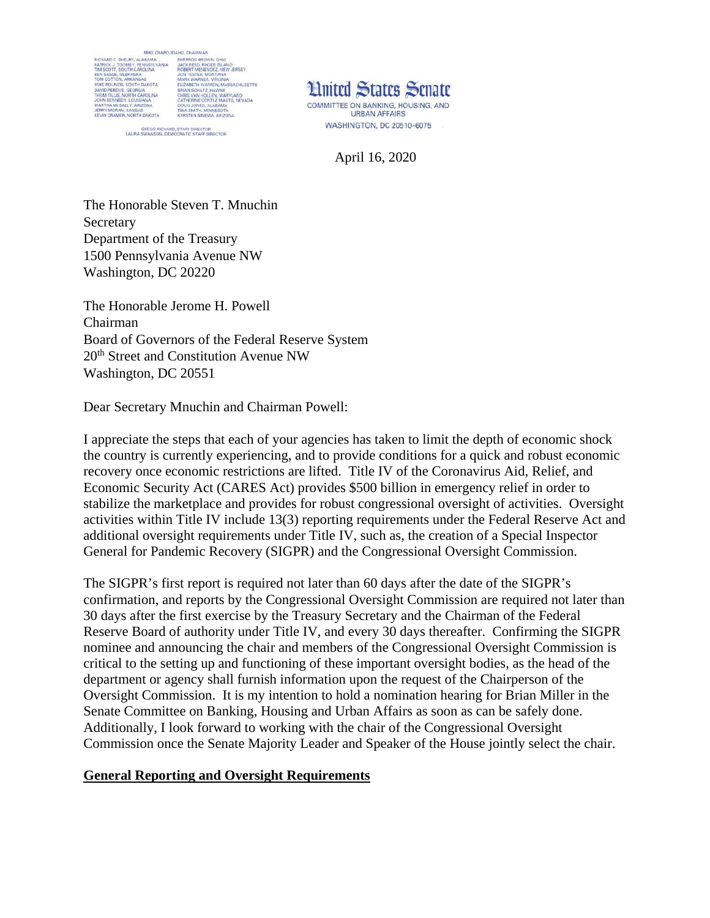

GREGG RICHARD, STAFF DIRECTOR<br>LAURA SWANSON, DEMOCRATIC STAFF DIRECTOR



April 16, 2020

The Honorable Steven T. Mnuchin Secretary Department of the Treasury 1500 Pennsylvania Avenue NW Washington, DC 20220

The Honorable Jerome H. Powell Chairman Board of Governors of the Federal Reserve System 20<sup>th</sup> Street and Constitution Avenue NW Washington, DC 20551

Dear Secretary Mnuchin and Chairman Powell:

I appreciate the steps that each of your agencies has taken to limit the depth of economic shock the country is currently experiencing, and to provide conditions for a quick and robust economic recovery once economic restrictions are lifted. Title IV of the Coronavirus Aid, Relief, and Economic Security Act (CARES Act) provides \$500 billion in emergency relief in order to stabilize the marketplace and provides for robust congressional oversight of activities. Oversight activities within Title IV include 13(3) reporting requirements under the Federal Reserve Act and additional oversight requirements under Title IV, such as, the creation of a Special Inspector General for Pandemic Recovery (SIGPR) and the Congressional Oversight Commission.

The SIGPR's first report is required not later than 60 days after the date of the SIGPR's confirmation, and reports by the Congressional Oversight Commission are required not later than 30 days after the first exercise by the Treasury Secretary and the Chairman of the Federal Reserve Board of authority under Title IV, and every 30 days thereafter. Confirming the SIGPR nominee and announcing the chair and members of the Congressional Oversight Commission is critical to the setting up and functioning of these important oversight bodies, as the head of the department or agency shall furnish information upon the request of the Chairperson of the Oversight Commission. It is my intention to hold a nomination hearing for Brian Miller in the Senate Committee on Banking, Housing and Urban Affairs as soon as can be safely done. Additionally, I look forward to working with the chair of the Congressional Oversight Commission once the Senate Majority Leader and Speaker of the House jointly select the chair.

## **General Reporting and Oversight Requirements**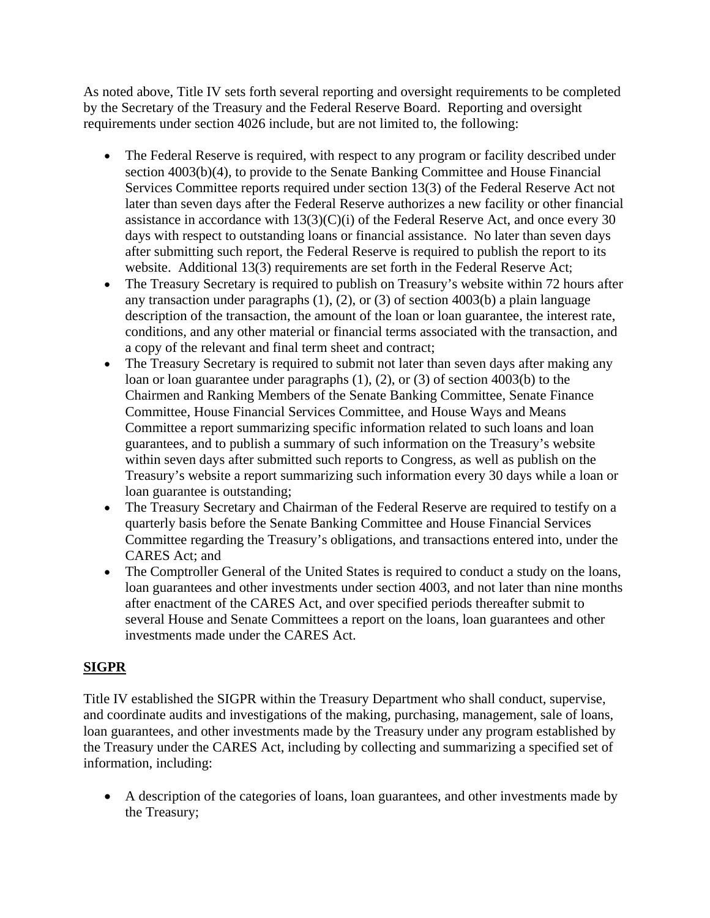As noted above, Title IV sets forth several reporting and oversight requirements to be completed by the Secretary of the Treasury and the Federal Reserve Board. Reporting and oversight requirements under section 4026 include, but are not limited to, the following:

- The Federal Reserve is required, with respect to any program or facility described under section 4003(b)(4), to provide to the Senate Banking Committee and House Financial Services Committee reports required under section 13(3) of the Federal Reserve Act not later than seven days after the Federal Reserve authorizes a new facility or other financial assistance in accordance with 13(3)(C)(i) of the Federal Reserve Act, and once every 30 days with respect to outstanding loans or financial assistance. No later than seven days after submitting such report, the Federal Reserve is required to publish the report to its website. Additional 13(3) requirements are set forth in the Federal Reserve Act;
- The Treasury Secretary is required to publish on Treasury's website within 72 hours after any transaction under paragraphs (1), (2), or (3) of section 4003(b) a plain language description of the transaction, the amount of the loan or loan guarantee, the interest rate, conditions, and any other material or financial terms associated with the transaction, and a copy of the relevant and final term sheet and contract;
- The Treasury Secretary is required to submit not later than seven days after making any loan or loan guarantee under paragraphs (1), (2), or (3) of section 4003(b) to the Chairmen and Ranking Members of the Senate Banking Committee, Senate Finance Committee, House Financial Services Committee, and House Ways and Means Committee a report summarizing specific information related to such loans and loan guarantees, and to publish a summary of such information on the Treasury's website within seven days after submitted such reports to Congress, as well as publish on the Treasury's website a report summarizing such information every 30 days while a loan or loan guarantee is outstanding;
- The Treasury Secretary and Chairman of the Federal Reserve are required to testify on a quarterly basis before the Senate Banking Committee and House Financial Services Committee regarding the Treasury's obligations, and transactions entered into, under the CARES Act; and
- The Comptroller General of the United States is required to conduct a study on the loans, loan guarantees and other investments under section 4003, and not later than nine months after enactment of the CARES Act, and over specified periods thereafter submit to several House and Senate Committees a report on the loans, loan guarantees and other investments made under the CARES Act.

## **SIGPR**

Title IV established the SIGPR within the Treasury Department who shall conduct, supervise, and coordinate audits and investigations of the making, purchasing, management, sale of loans, loan guarantees, and other investments made by the Treasury under any program established by the Treasury under the CARES Act, including by collecting and summarizing a specified set of information, including:

• A description of the categories of loans, loan guarantees, and other investments made by the Treasury;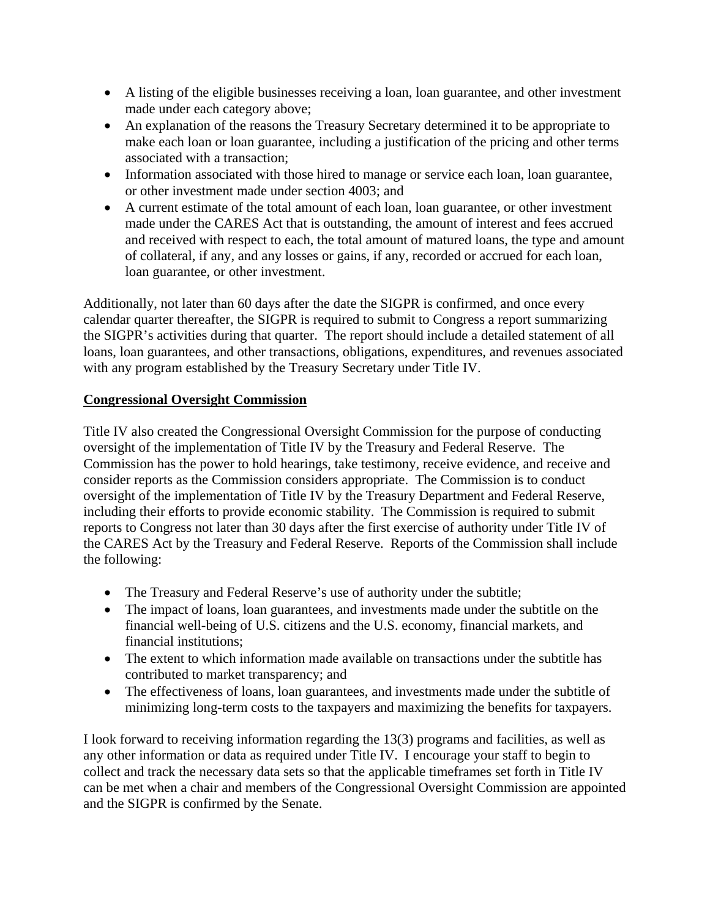- A listing of the eligible businesses receiving a loan, loan guarantee, and other investment made under each category above;
- An explanation of the reasons the Treasury Secretary determined it to be appropriate to make each loan or loan guarantee, including a justification of the pricing and other terms associated with a transaction;
- Information associated with those hired to manage or service each loan, loan guarantee, or other investment made under section 4003; and
- A current estimate of the total amount of each loan, loan guarantee, or other investment made under the CARES Act that is outstanding, the amount of interest and fees accrued and received with respect to each, the total amount of matured loans, the type and amount of collateral, if any, and any losses or gains, if any, recorded or accrued for each loan, loan guarantee, or other investment.

Additionally, not later than 60 days after the date the SIGPR is confirmed, and once every calendar quarter thereafter, the SIGPR is required to submit to Congress a report summarizing the SIGPR's activities during that quarter. The report should include a detailed statement of all loans, loan guarantees, and other transactions, obligations, expenditures, and revenues associated with any program established by the Treasury Secretary under Title IV.

## **Congressional Oversight Commission**

Title IV also created the Congressional Oversight Commission for the purpose of conducting oversight of the implementation of Title IV by the Treasury and Federal Reserve. The Commission has the power to hold hearings, take testimony, receive evidence, and receive and consider reports as the Commission considers appropriate. The Commission is to conduct oversight of the implementation of Title IV by the Treasury Department and Federal Reserve, including their efforts to provide economic stability. The Commission is required to submit reports to Congress not later than 30 days after the first exercise of authority under Title IV of the CARES Act by the Treasury and Federal Reserve. Reports of the Commission shall include the following:

- The Treasury and Federal Reserve's use of authority under the subtitle;
- The impact of loans, loan guarantees, and investments made under the subtitle on the financial well-being of U.S. citizens and the U.S. economy, financial markets, and financial institutions;
- The extent to which information made available on transactions under the subtitle has contributed to market transparency; and
- The effectiveness of loans, loan guarantees, and investments made under the subtitle of minimizing long-term costs to the taxpayers and maximizing the benefits for taxpayers.

I look forward to receiving information regarding the 13(3) programs and facilities, as well as any other information or data as required under Title IV. I encourage your staff to begin to collect and track the necessary data sets so that the applicable timeframes set forth in Title IV can be met when a chair and members of the Congressional Oversight Commission are appointed and the SIGPR is confirmed by the Senate.